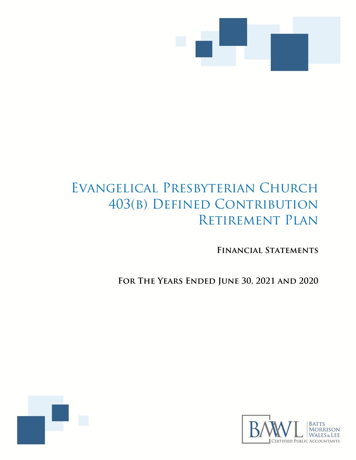

# Evangelical Presbyterian Church 403(b) Defined Contribution RETIREMENT PLAN

**Financial Statements** 

**For The Years Ended June 30, 2021 and 2020**



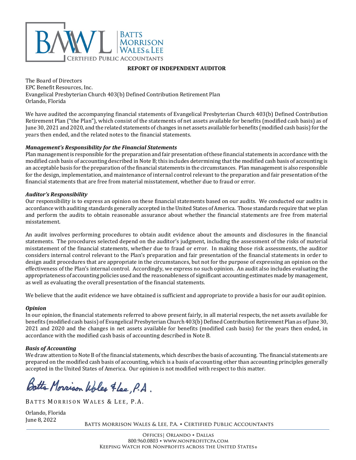

#### **REPORT OF INDEPENDENT AUDITOR**

The Board of Directors EPC Benefit Resources, Inc. Evangelical Presbyterian Church 403(b) Defined Contribution Retirement Plan Orlando, Florida

We have audited the accompanying financial statements of Evangelical Presbyterian Church 403(b) Defined Contribution Retirement Plan ("the Plan"), which consist of the statements of net assets available for benefits (modified cash basis) as of June 30, 2021 and 2020, and the related statements of changes in net assets available for benefits (modified cash basis) for the years then ended, and the related notes to the financial statements.

#### *Management's Responsibility for the Financial Statements*

Plan managementis responsible for the preparation and fair presentation ofthese financial statements in accordance with the modified cash basis of accounting described in Note B; this includes determining thatthe modified cash basis of accounting is an acceptable basis for the preparation ofthe financial statements in the circumstances. Plan managementis also responsible for the design, implementation, and maintenance of internal control relevant to the preparation and fair presentation of the financial statements that are free from material misstatement, whether due to fraud or error.

#### *Auditor's Responsibility*

Our responsibility is to express an opinion on these financial statements based on our audits. We conducted our audits in accordance with auditing standards generally accepted in the United States of America. Those standards require that we plan and perform the audits to obtain reasonable assurance about whether the financial statements are free from material misstatement.

An audit involves performing procedures to obtain audit evidence about the amounts and disclosures in the financial statements. The procedures selected depend on the auditor's judgment, including the assessment of the risks of material misstatement of the financial statements, whether due to fraud or error. In making those risk assessments, the auditor considers internal control relevant to the Plan's preparation and fair presentation of the financial statements in order to design audit procedures that are appropriate in the circumstances, but not for the purpose of expressing an opinion on the effectiveness of the Plan's internal control. Accordingly, we express no such opinion. An audit also includes evaluating the appropriateness of accounting policies used and the reasonableness of significant accounting estimates made by management, as well as evaluating the overall presentation of the financial statements.

We believe that the audit evidence we have obtained is sufficient and appropriate to provide a basis for our audit opinion.

#### *Opinion*

In our opinion, the financial statements referred to above present fairly, in all material respects, the net assets available for benefits (modified cash basis) of Evangelical Presbyterian Church 403(b) Defined Contribution Retirement Plan as of June 30, 2021 and 2020 and the changes in net assets available for benefits (modified cash basis) for the years then ended, in accordance with the modified cash basis of accounting described in Note B.

#### *Basis of Accounting*

We draw attention to Note B of the financial statements, which describes the basis of accounting. The financial statements are prepared on the modified cash basis of accounting, which is a basis of accounting other than accounting principles generally accepted in the United States of America. Our opinion is not modified with respect to this matter.

Botts Morrison Woles Flae, P.A.

BATTS MORRISON WALES & LEE, P.A.

Orlando, Florida June 8, 2022

**Batts Morrison Wales & Lee, P.A.** • **Certified Public Accountants**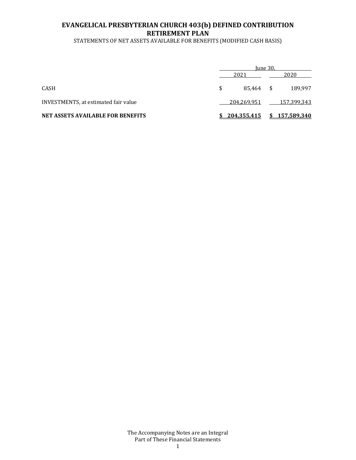STATEMENTS OF NET ASSETS AVAILABLE FOR BENEFITS (MODIFIED CASH BASIS)

|                                          | June $301$ |             |  |                      |  |  |
|------------------------------------------|------------|-------------|--|----------------------|--|--|
|                                          | 2021       |             |  | 2020                 |  |  |
| <b>CASH</b>                              | S.         | 85.464 \$   |  | 189.997              |  |  |
| INVESTMENTS, at estimated fair value     |            | 204.269.951 |  | 157,399,343          |  |  |
| <b>NET ASSETS AVAILABLE FOR BENEFITS</b> |            | 204,355,415 |  | <u>\$157,589,340</u> |  |  |

The Accompanying Notes are an Integral Part of These Financial Statements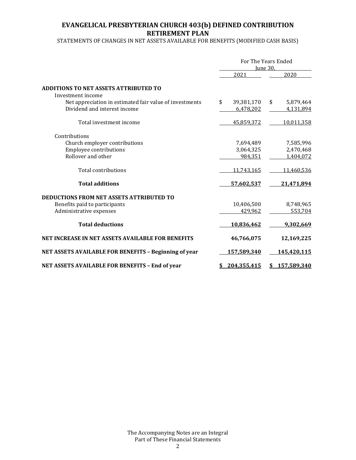STATEMENTS OF CHANGES IN NET ASSETS AVAILABLE FOR BENEFITS (MODIFIED CASH BASIS)

|                                                         | For The Years Ended<br>June 30, |             |    |                    |
|---------------------------------------------------------|---------------------------------|-------------|----|--------------------|
|                                                         |                                 | 2021        |    | 2020               |
| <b>ADDITIONS TO NET ASSETS ATTRIBUTED TO</b>            |                                 |             |    |                    |
| Investment income                                       |                                 |             |    |                    |
| Net appreciation in estimated fair value of investments | \$                              | 39,381,170  | \$ | 5,879,464          |
| Dividend and interest income                            |                                 | 6,478,202   |    | 4,131,894          |
| Total investment income                                 |                                 | 45,859,372  |    | 10,011,358         |
| Contributions                                           |                                 |             |    |                    |
| Church employer contributions                           |                                 | 7,694,489   |    | 7,585,996          |
| <b>Employee contributions</b>                           |                                 | 3,064,325   |    | 2,470,468          |
| Rollover and other                                      |                                 | 984,351     |    | 1,404,072          |
| Total contributions                                     |                                 | 11,743,165  |    | 11,460,536         |
| <b>Total additions</b>                                  |                                 | 57,602,537  |    | 21,471,894         |
| <b>DEDUCTIONS FROM NET ASSETS ATTRIBUTED TO</b>         |                                 |             |    |                    |
| Benefits paid to participants                           |                                 | 10,406,500  |    | 8,748,965          |
| Administrative expenses                                 |                                 | 429.962     |    | 553,704            |
| <b>Total deductions</b>                                 |                                 | 10,836,462  |    | 9,302,669          |
| NET INCREASE IN NET ASSETS AVAILABLE FOR BENEFITS       |                                 | 46,766,075  |    | 12,169,225         |
| NET ASSETS AVAILABLE FOR BENEFITS - Beginning of year   |                                 | 157,589,340 |    | <u>145,420,115</u> |
| <b>NET ASSETS AVAILABLE FOR BENEFITS - End of year</b>  | S                               | 204.355.415 | S  | 157.589.340        |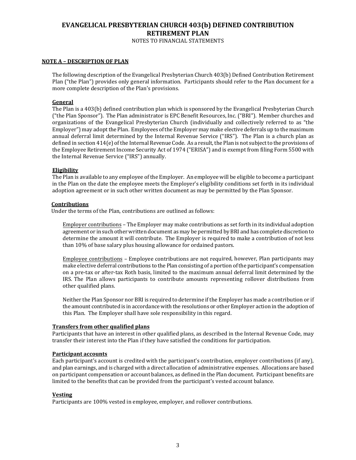NOTES TO FINANCIAL STATEMENTS

#### **NOTE A – DESCRIPTION OF PLAN**

The following description of the Evangelical Presbyterian Church 403(b) Defined Contribution Retirement Plan ("the Plan") provides only general information. Participants should refer to the Plan document for a more complete description of the Plan's provisions.

#### **General**

The Plan is a 403(b) defined contribution plan which is sponsored by the Evangelical Presbyterian Church ("the Plan Sponsor"). The Plan administrator is EPC Benefit Resources, Inc. ("BRI"). Member churches and organizations of the Evangelical Presbyterian Church (individually and collectively referred to as "the Employer") may adopt the Plan. Employees of the Employer may make elective deferrals up to the maximum annual deferral limit determined by the Internal Revenue Service ("IRS"). The Plan is a church plan as defined in section  $414(e)$  of the Internal Revenue Code. As a result, the Plan is not subject to the provisions of the Employee Retirement Income Security Act of 1974 ("ERISA") and is exempt from filing Form 5500 with the Internal Revenue Service ("IRS") annually. 

#### **Eligibility**

The Plan is available to any employee of the Employer. An employee will be eligible to become a participant in the Plan on the date the employee meets the Employer's eligibility conditions set forth in its individual adoption agreement or in such other written document as may be permitted by the Plan Sponsor.

#### **Contributions**

Under the terms of the Plan, contributions are outlined as follows:

Employer contributions – The Employer may make contributions as set forth in its individual adoption agreement or in such other written document as may be permitted by BRI and has complete discretion to determine the amount it will contribute. The Employer is required to make a contribution of not less than 10% of base salary plus housing allowance for ordained pastors. 

Employee contributions – Employee contributions are not required, however, Plan participants may make elective deferral contributions to the Plan consisting of a portion ofthe participant's compensation on a pre‐tax or after‐tax Roth basis, limited to the maximum annual deferral limit determined by the IRS. The Plan allows participants to contribute amounts representing rollover distributions from other qualified plans. 

Neither the Plan Sponsor nor BRI is required to determine if the Employer has made a contribution or if the amount contributed is in accordance with the resolutions or other Employer action in the adoption of this Plan. The Employer shall have sole responsibility in this regard.

#### **Transfers from other qualified plans**

Participants that have an interest in other qualified plans, as described in the Internal Revenue Code, may transfer their interest into the Plan if they have satisfied the conditions for participation.

#### **Participant accounts**

Each participant's account is credited with the participant's contribution, employer contributions (if any), and plan earnings, and is charged with a direct allocation of administrative expenses. Allocations are based on participant compensation or account balances, as defined in the Plan document. Participant benefits are limited to the benefits that can be provided from the participant's vested account balance.

#### **Vesting**

Participants are 100% vested in employee, employer, and rollover contributions.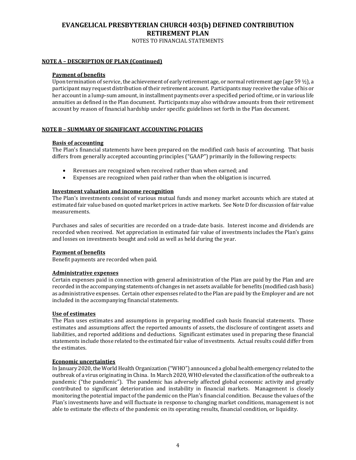NOTES TO FINANCIAL STATEMENTS

#### **NOTE A – DESCRIPTION OF PLAN (Continued)**

#### **Payment of benefits**

Upon termination of service, the achievement of early retirement age, or normal retirement age (age 59 $\frac{1}{2}$ ), a participant may request distribution of their retirement account. Participants may receive the value of his or her account in a lump-sum amount, in installment payments over a specified period of time, or in various life annuities as defined in the Plan document. Participants may also withdraw amounts from their retirement account by reason of financial hardship under specific guidelines set forth in the Plan document. 

#### **NOTE B – SUMMARY OF SIGNIFICANT ACCOUNTING POLICIES**

#### **Basis of accounting**

The Plan's financial statements have been prepared on the modified cash basis of accounting. That basis differs from generally accepted accounting principles ("GAAP") primarily in the following respects:

- Revenues are recognized when received rather than when earned; and
- Expenses are recognized when paid rather than when the obligation is incurred.

#### **Investment valuation and income recognition**

The Plan's investments consist of various mutual funds and money market accounts which are stated at estimated fair value based on quoted market prices in active markets. See Note D for discussion of fair value measurements.

Purchases and sales of securities are recorded on a trade-date basis. Interest income and dividends are recorded when received. Net appreciation in estimated fair value of investments includes the Plan's gains and losses on investments bought and sold as well as held during the year.

#### **Payment of benefits**

Benefit payments are recorded when paid.

#### **Administrative expenses**

Certain expenses paid in connection with general administration of the Plan are paid by the Plan and are recorded in the accompanying statements of changes in net assets available for benefits (modified cash basis) as administrative expenses. Certain other expenses related to the Plan are paid by the Employer and are not included in the accompanying financial statements.

#### **Use of estimates**

The Plan uses estimates and assumptions in preparing modified cash basis financial statements. Those estimates and assumptions affect the reported amounts of assets, the disclosure of contingent assets and liabilities, and reported additions and deductions. Significant estimates used in preparing these financial statements include those related to the estimated fair value of investments. Actual results could differ from the estimates.

#### **Economic uncertainties**

In January 2020, the World Health Organization ("WHO") announced a global health emergency related to the outbreak of a virus originating in China. In March 2020, WHO elevated the classification of the outbreak to a pandemic ("the pandemic"). The pandemic has adversely affected global economic activity and greatly contributed to significant deterioration and instability in financial markets. Management is closely monitoring the potential impact of the pandemic on the Plan's financial condition. Because the values of the Plan's investments have and will fluctuate in response to changing market conditions, management is not able to estimate the effects of the pandemic on its operating results, financial condition, or liquidity.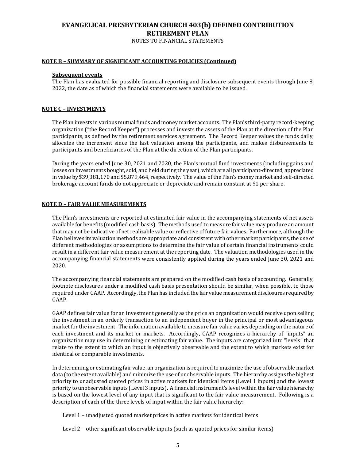NOTES TO FINANCIAL STATEMENTS

#### **NOTE B – SUMMARY OF SIGNIFICANT ACCOUNTING POLICIES (Continued)**

#### **Subsequent events**

The Plan has evaluated for possible financial reporting and disclosure subsequent events through June 8, 2022, the date as of which the financial statements were available to be issued.

#### **NOTE C – INVESTMENTS**

The Plan invests in various mutual funds and money market accounts. The Plan's third-party record-keeping organization ("the Record Keeper") processes and invests the assets of the Plan at the direction of the Plan participants, as defined by the retirement services agreement. The Record Keeper values the funds daily, allocates the increment since the last valuation among the participants, and makes disbursements to participants and beneficiaries of the Plan at the direction of the Plan participants. 

During the years ended June 30, 2021 and 2020, the Plan's mutual fund investments (including gains and losses on investments bought, sold, and held during the year), which are all participant‐directed, appreciated in value by \$39,381,170 and \$5,879,464, respectively. The value of the Plan's money market and self-directed brokerage account funds do not appreciate or depreciate and remain constant at \$1 per share.

#### **NOTE D – FAIR VALUE MEASUREMENTS**

The Plan's investments are reported at estimated fair value in the accompanying statements of net assets available for benefits (modified cash basis). The methods used to measure fair value may produce an amount that may not be indicative of net realizable value or reflective of future fair values. Furthermore, although the Plan believes its valuation methods are appropriate and consistent with other market participants, the use of different methodologies or assumptions to determine the fair value of certain financial instruments could result in a different fair value measurement at the reporting date. The valuation methodologies used in the accompanying financial statements were consistently applied during the years ended June 30, 2021 and 2020. 

The accompanying financial statements are prepared on the modified cash basis of accounting. Generally, footnote disclosures under a modified cash basis presentation should be similar, when possible, to those required under GAAP. Accordingly, the Plan has included the fair value measurement disclosures required by GAAP.

GAAP defines fair value for an investment generally as the price an organization would receive upon selling the investment in an orderly transaction to an independent buyer in the principal or most advantageous market for the investment. The information available to measure fair value varies depending on the nature of each investment and its market or markets. Accordingly, GAAP recognizes a hierarchy of "inputs" an organization may use in determining or estimating fair value. The inputs are categorized into "levels" that relate to the extent to which an input is objectively observable and the extent to which markets exist for identical or comparable investments.

In determining or estimating fair value, an organization is required to maximize the use of observable market data (to the extent available) and minimize the use of unobservable inputs. The hierarchy assigns the highest priority to unadjusted quoted prices in active markets for identical items (Level 1 inputs) and the lowest priority to unobservable inputs (Level 3 inputs). A financial instrument's level within the fair value hierarchy is based on the lowest level of any input that is significant to the fair value measurement. Following is a description of each of the three levels of input within the fair value hierarchy:

Level 1 – unadjusted quoted market prices in active markets for identical items

Level 2 – other significant observable inputs (such as quoted prices for similar items)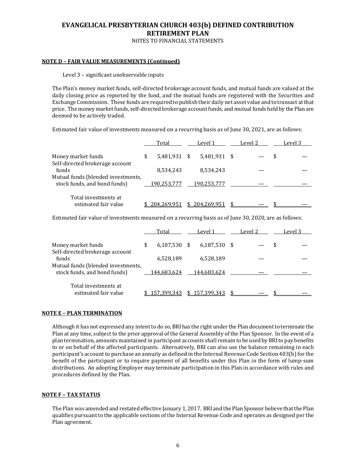NOTES TO FINANCIAL STATEMENTS

#### **NOTE D – FAIR VALUE MEASUREMENTS (Continued)**

Level 3 – significant unobservable inputs

The Plan's money market funds, self‐directed brokerage account funds, and mutual funds are valued at the daily closing price as reported by the fund, and the mutual funds are registered with the Securities and Exchange Commission. These funds are required to publish their daily net asset value and to transact at that price. The money market funds, self-directed brokerage account funds, and mutual funds held by the Plan are deemed to be actively traded. 

Estimated fair value of investments measured on a recurring basis as of June 30, 2021, are as follows:

|                                                                    | Total       | Level 1           | Level 2 | Level 3 |
|--------------------------------------------------------------------|-------------|-------------------|---------|---------|
| Money market funds<br>Self-directed brokerage account              | 5,481,931   | 5,481,931<br>- \$ | - \$    | \$      |
| funds                                                              | 8,534,243   | 8,534,243         |         |         |
| Mutual funds (blended investments,<br>stock funds, and bond funds) | 190.253.777 | 190.253.777       |         |         |
| Total investments at<br>estimated fair value                       | 04.269.95   | 204.269.951       |         |         |

Estimated fair value of investments measured on a recurring basis as of June 30, 2020, are as follows:

|                                                                    | Total           |    | Level 1     |      | Level 2 | Level 3 |
|--------------------------------------------------------------------|-----------------|----|-------------|------|---------|---------|
| Money market funds<br>Self-directed brokerage account              | \$<br>6,187,530 | -S | 6,187,530   | - \$ |         | \$      |
| funds                                                              | 6,528,189       |    | 6,528,189   |      |         |         |
| Mutual funds (blended investments,<br>stock funds, and bond funds) | 144.683.624     |    | 144,683,624 |      |         |         |
| Total investments at<br>estimated fair value                       | 57.399.343      |    | 157.399.343 |      |         |         |

#### **NOTE E – PLAN TERMINATION**

Although it has not expressed any intent to do so, BRI has the right under the Plan document to terminate the Plan at any time, subject to the prior approval of the General Assembly of the Plan Sponsor. In the event of a plan termination, amounts maintained in participant accounts shall remain to be used by BRIto pay benefits to or on behalf of the affected participants. Alternatively, BRI can also use the balance remaining in each participant's account to purchase an annuity as defined in the Internal Revenue Code Section 403(b) for the benefit of the participant or to require payment of all benefits under this Plan in the form of lump‐sum distributions. An adopting Employer may terminate participation in this Plan in accordance with rules and procedures defined by the Plan.

#### **NOTE F – TAX STATUS**

The Plan was amended and restated effective January 1, 2017. BRI and the Plan Sponsor believe that the Plan qualifies pursuant to the applicable sections of the Internal Revenue Code and operates as designed per the Plan agreement.